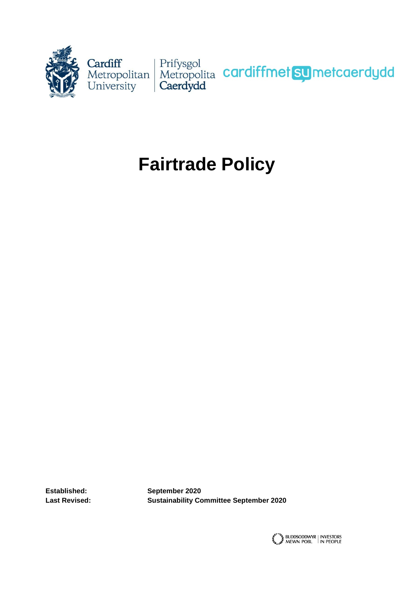

# **Fairtrade Policy**

**Established: September 2020 Last Revised: Sustainability Committee September 2020**

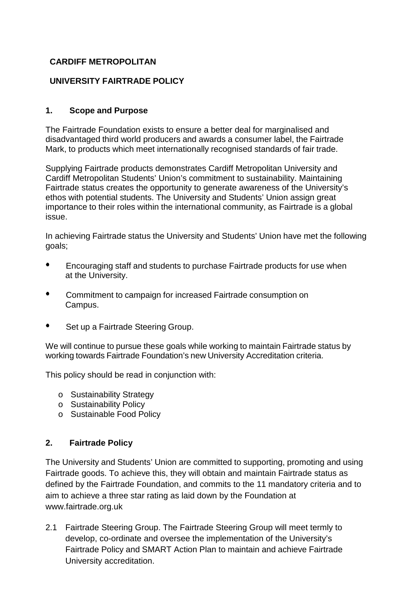## **CARDIFF METROPOLITAN**

# **UNIVERSITY FAIRTRADE POLICY**

#### **1. Scope and Purpose**

The Fairtrade Foundation exists to ensure a better deal for marginalised and disadvantaged third world producers and awards a consumer label, the Fairtrade Mark, to products which meet internationally recognised standards of fair trade.

Supplying Fairtrade products demonstrates Cardiff Metropolitan University and Cardiff Metropolitan Students' Union's commitment to sustainability. Maintaining Fairtrade status creates the opportunity to generate awareness of the University's ethos with potential students. The University and Students' Union assign great importance to their roles within the international community, as Fairtrade is a global issue.

In achieving Fairtrade status the University and Students' Union have met the following goals;

- Encouraging staff and students to purchase Fairtrade products for use when at the University.
- Commitment to campaign for increased Fairtrade consumption on Campus.
- Set up a Fairtrade Steering Group.

We will continue to pursue these goals while working to maintain Fairtrade status by working towards Fairtrade Foundation's new University Accreditation criteria.

This policy should be read in conjunction with:

- o Sustainability Strategy
- o Sustainability Policy
- o Sustainable Food Policy

# **2. Fairtrade Policy**

The University and Students' Union are committed to supporting, promoting and using Fairtrade goods. To achieve this, they will obtain and maintain Fairtrade status as defined by the Fairtrade Foundation, and commits to the 11 mandatory criteria and to aim to achieve a three star rating as laid down by the Foundation at [www.fairtrade.org.uk](http://www.fairtrade.org.uk/)

2.1 Fairtrade Steering Group. The Fairtrade Steering Group will meet termly to develop, co-ordinate and oversee the implementation of the University's Fairtrade Policy and SMART Action Plan to maintain and achieve Fairtrade University accreditation.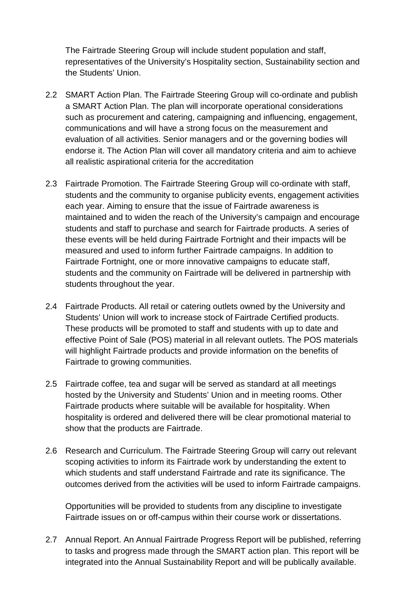The Fairtrade Steering Group will include student population and staff, representatives of the University's Hospitality section, Sustainability section and the Students' Union.

- 2.2 SMART Action Plan. The Fairtrade Steering Group will co-ordinate and publish a SMART Action Plan. The plan will incorporate operational considerations such as procurement and catering, campaigning and influencing, engagement, communications and will have a strong focus on the measurement and evaluation of all activities. Senior managers and or the governing bodies will endorse it. The Action Plan will cover all mandatory criteria and aim to achieve all realistic aspirational criteria for the accreditation
- 2.3 Fairtrade Promotion. The Fairtrade Steering Group will co-ordinate with staff, students and the community to organise publicity events, engagement activities each year. Aiming to ensure that the issue of Fairtrade awareness is maintained and to widen the reach of the University's campaign and encourage students and staff to purchase and search for Fairtrade products. A series of these events will be held during Fairtrade Fortnight and their impacts will be measured and used to inform further Fairtrade campaigns. In addition to Fairtrade Fortnight, one or more innovative campaigns to educate staff, students and the community on Fairtrade will be delivered in partnership with students throughout the year.
- 2.4 Fairtrade Products. All retail or catering outlets owned by the University and Students' Union will work to increase stock of Fairtrade Certified products. These products will be promoted to staff and students with up to date and effective Point of Sale (POS) material in all relevant outlets. The POS materials will highlight Fairtrade products and provide information on the benefits of Fairtrade to growing communities.
- 2.5 Fairtrade coffee, tea and sugar will be served as standard at all meetings hosted by the University and Students' Union and in meeting rooms. Other Fairtrade products where suitable will be available for hospitality. When hospitality is ordered and delivered there will be clear promotional material to show that the products are Fairtrade.
- 2.6 Research and Curriculum. The Fairtrade Steering Group will carry out relevant scoping activities to inform its Fairtrade work by understanding the extent to which students and staff understand Fairtrade and rate its significance. The outcomes derived from the activities will be used to inform Fairtrade campaigns.

Opportunities will be provided to students from any discipline to investigate Fairtrade issues on or off-campus within their course work or dissertations.

2.7 Annual Report. An Annual Fairtrade Progress Report will be published, referring to tasks and progress made through the SMART action plan. This report will be integrated into the Annual Sustainability Report and will be publically available.